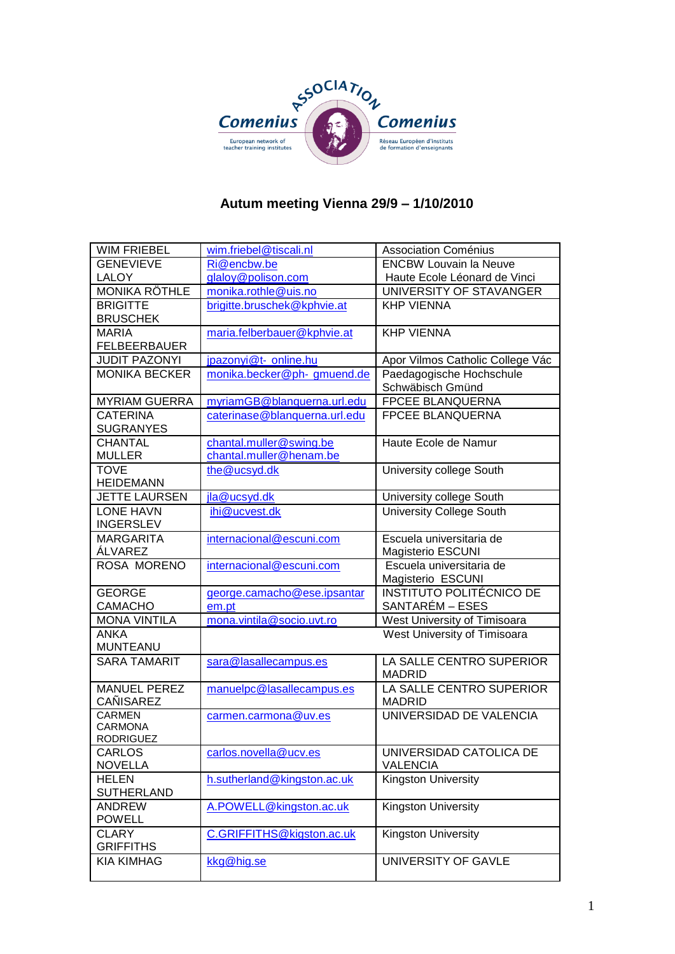

# **Autum meeting Vienna 29/9 – 1/10/2010**

| <b>WIM FRIEBEL</b>                | wim.friebel@tiscali.nl        | <b>Association Coménius</b>                   |
|-----------------------------------|-------------------------------|-----------------------------------------------|
| <b>GENEVIEVE</b>                  | Ri@encbw.be                   | <b>ENCBW Louvain la Neuve</b>                 |
| <b>LALOY</b>                      | glaloy@polison.com            | Haute Ecole Léonard de Vinci                  |
| <b>MONIKA RÖTHLE</b>              | monika.rothle@uis.no          | UNIVERSITY OF STAVANGER                       |
| <b>BRIGITTE</b>                   | brigitte.bruschek@kphvie.at   | <b>KHP VIENNA</b>                             |
| <b>BRUSCHEK</b>                   |                               |                                               |
| <b>MARIA</b>                      | maria.felberbauer@kphvie.at   | <b>KHP VIENNA</b>                             |
| <b>FELBEERBAUER</b>               |                               |                                               |
| <b>JUDIT PAZONYI</b>              | jpazonyi@t- online.hu         | Apor Vilmos Catholic College Vác              |
| <b>MONIKA BECKER</b>              | monika.becker@ph-gmuend.de    | Paedagogische Hochschule                      |
|                                   |                               | Schwäbisch Gmünd                              |
| <b>MYRIAM GUERRA</b>              | myriamGB@blanquerna.url.edu   | <b>FPCEE BLANQUERNA</b>                       |
| <b>CATERINA</b>                   | caterinase@blanquerna.url.edu | FPCEE BLANQUERNA                              |
| <b>SUGRANYES</b>                  |                               |                                               |
| <b>CHANTAL</b>                    | chantal.muller@swing.be       | Haute Ecole de Namur                          |
| <b>MULLER</b>                     | chantal.muller@henam.be       |                                               |
| <b>TOVE</b>                       | the@ucsyd.dk                  | University college South                      |
| <b>HEIDEMANN</b>                  |                               |                                               |
| <b>JETTE LAURSEN</b>              | jla@ucsyd.dk                  | University college South                      |
| <b>LONE HAVN</b>                  | ihi@ucvest.dk                 | <b>University College South</b>               |
| <b>INGERSLEV</b>                  |                               |                                               |
| <b>MARGARITA</b>                  | internacional@escuni.com      | Escuela universitaria de                      |
| ÁLVAREZ                           |                               | <b>Magisterio ESCUNI</b>                      |
| ROSA MORENO                       | internacional@escuni.com      | Escuela universitaria de<br>Magisterio ESCUNI |
| <b>GEORGE</b>                     | george.camacho@ese.ipsantar   | INSTITUTO POLITÉCNICO DE                      |
| <b>CAMACHO</b>                    | em.pt                         | SANTARÉM – ESES                               |
| <b>MONA VINTILA</b>               | mona.vintila@socio.uvt.ro     | West University of Timisoara                  |
| <b>ANKA</b>                       |                               | West University of Timisoara                  |
| <b>MUNTEANU</b>                   |                               |                                               |
| <b>SARA TAMARIT</b>               | sara@lasallecampus.es         | LA SALLE CENTRO SUPERIOR                      |
|                                   |                               | <b>MADRID</b>                                 |
| <b>MANUEL PEREZ</b>               | manuelpc@lasallecampus.es     | LA SALLE CENTRO SUPERIOR                      |
| <b>CAÑISAREZ</b>                  |                               | <b>MADRID</b>                                 |
| <b>CARMEN</b>                     | carmen.carmona@uv.es          | UNIVERSIDAD DE VALENCIA                       |
| <b>CARMONA</b>                    |                               |                                               |
| <b>RODRIGUEZ</b>                  |                               |                                               |
| CARLOS<br><b>NOVELLA</b>          | carlos.novella@ucv.es         | UNIVERSIDAD CATOLICA DE<br><b>VALENCIA</b>    |
|                                   |                               |                                               |
| <b>HELEN</b><br><b>SUTHERLAND</b> | h.sutherland@kingston.ac.uk   | Kingston University                           |
|                                   |                               |                                               |
| <b>ANDREW</b><br><b>POWELL</b>    | A.POWELL@kingston.ac.uk       | Kingston University                           |
|                                   |                               |                                               |
| <b>CLARY</b><br><b>GRIFFITHS</b>  | C.GRIFFITHS@kigston.ac.uk     | Kingston University                           |
| <b>KIA KIMHAG</b>                 | kkg@hig.se                    | UNIVERSITY OF GAVLE                           |
|                                   |                               |                                               |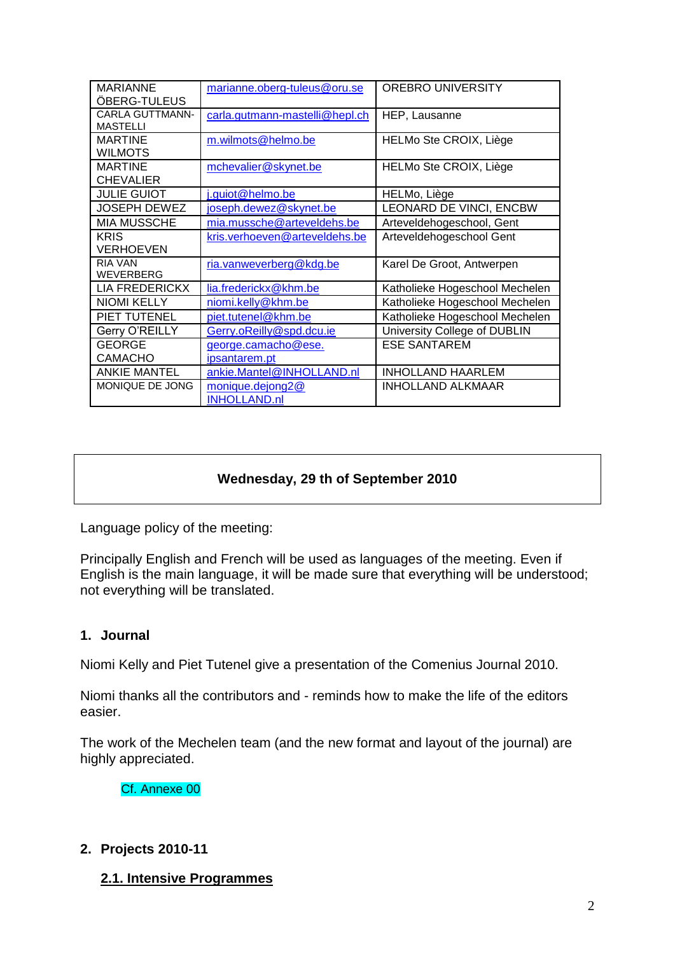| <b>MARIANNE</b>        | marianne.oberg-tuleus@oru.se   | <b>OREBRO UNIVERSITY</b>       |
|------------------------|--------------------------------|--------------------------------|
| ÖBERG-TULEUS           |                                |                                |
| <b>CARLA GUTTMANN-</b> | carla.gutmann-mastelli@hepl.ch | HEP, Lausanne                  |
| <b>MASTELLI</b>        |                                |                                |
| <b>MARTINE</b>         | m.wilmots@helmo.be             | HELMo Ste CROIX, Liège         |
| <b>WILMOTS</b>         |                                |                                |
| <b>MARTINE</b>         | mchevalier@skynet.be           | HELMo Ste CROIX, Liège         |
| <b>CHEVALIER</b>       |                                |                                |
| <b>JULIE GUIOT</b>     | j.guiot@helmo.be               | HELMo, Liège                   |
| <b>JOSEPH DEWEZ</b>    | joseph.dewez@skynet.be         | LEONARD DE VINCI, ENCBW        |
| <b>MIA MUSSCHE</b>     | mia.mussche@arteveldehs.be     | Arteveldehogeschool, Gent      |
| <b>KRIS</b>            | kris.verhoeven@arteveldehs.be  | Arteveldehogeschool Gent       |
| VERHOEVEN              |                                |                                |
| <b>RIA VAN</b>         | ria.vanweverberg@kdg.be        | Karel De Groot, Antwerpen      |
| <b>WEVERBERG</b>       |                                |                                |
| <b>LIA FREDERICKX</b>  | lia.frederickx@khm.be          | Katholieke Hogeschool Mechelen |
| <b>NIOMI KELLY</b>     | niomi.kelly@khm.be             | Katholieke Hogeschool Mechelen |
| PIET TUTENEL           | piet.tutenel@khm.be            | Katholieke Hogeschool Mechelen |
| Gerry O'REILLY         | Gerry.oReilly@spd.dcu.ie       | University College of DUBLIN   |
| <b>GEORGE</b>          | george.camacho@ese.            | <b>ESE SANTAREM</b>            |
| <b>CAMACHO</b>         | ipsantarem.pt                  |                                |
| <b>ANKIE MANTEL</b>    | ankie.Mantel@INHOLLAND.nl      | <b>INHOLLAND HAARLEM</b>       |
| MONIQUE DE JONG        | monique.dejong2@               | <b>INHOLLAND ALKMAAR</b>       |
|                        | <b>INHOLLAND.nl</b>            |                                |

## **Wednesday, 29 th of September 2010**

Language policy of the meeting:

Principally English and French will be used as languages of the meeting. Even if English is the main language, it will be made sure that everything will be understood; not everything will be translated.

#### **1. Journal**

Niomi Kelly and Piet Tutenel give a presentation of the Comenius Journal 2010.

Niomi thanks all the contributors and - reminds how to make the life of the editors easier.

The work of the Mechelen team (and the new format and layout of the journal) are highly appreciated.

Cf. Annexe 00

#### **2. Projects 2010-11**

#### **2.1. Intensive Programmes**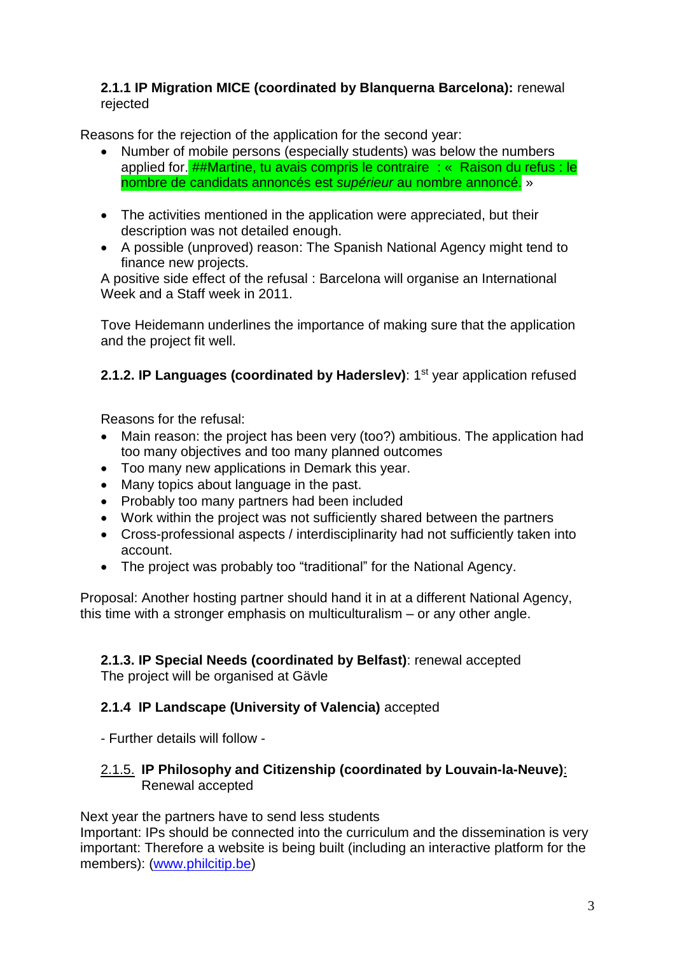### **2.1.1 IP Migration MICE (coordinated by Blanquerna Barcelona):** renewal rejected

Reasons for the rejection of the application for the second year:

- Number of mobile persons (especially students) was below the numbers applied for. ##Martine, tu avais compris le contraire : « Raison du refus : le nombre de candidats annoncés est *supérieur* au nombre annoncé. »
- The activities mentioned in the application were appreciated, but their description was not detailed enough.
- A possible (unproved) reason: The Spanish National Agency might tend to finance new projects.

A positive side effect of the refusal : Barcelona will organise an International Week and a Staff week in 2011.

Tove Heidemann underlines the importance of making sure that the application and the project fit well.

2.1.2. IP Languages (coordinated by Haderslev): 1<sup>st</sup> year application refused

Reasons for the refusal:

- Main reason: the project has been very (too?) ambitious. The application had too many objectives and too many planned outcomes
- Too many new applications in Demark this year.
- Many topics about language in the past.
- Probably too many partners had been included
- Work within the project was not sufficiently shared between the partners
- Cross-professional aspects / interdisciplinarity had not sufficiently taken into account.
- The project was probably too "traditional" for the National Agency.

Proposal: Another hosting partner should hand it in at a different National Agency, this time with a stronger emphasis on multiculturalism – or any other angle.

#### **2.1.3. IP Special Needs (coordinated by Belfast)**: renewal accepted The project will be organised at Gävle

### **2.1.4 IP Landscape (University of Valencia)** accepted

- Further details will follow -

#### 2.1.5. **IP Philosophy and Citizenship (coordinated by Louvain-la-Neuve)**: Renewal accepted

Next year the partners have to send less students

Important: IPs should be connected into the curriculum and the dissemination is very important: Therefore a website is being built (including an interactive platform for the members): [\(www.philcitip.be\)](http://www.philcitip.be/)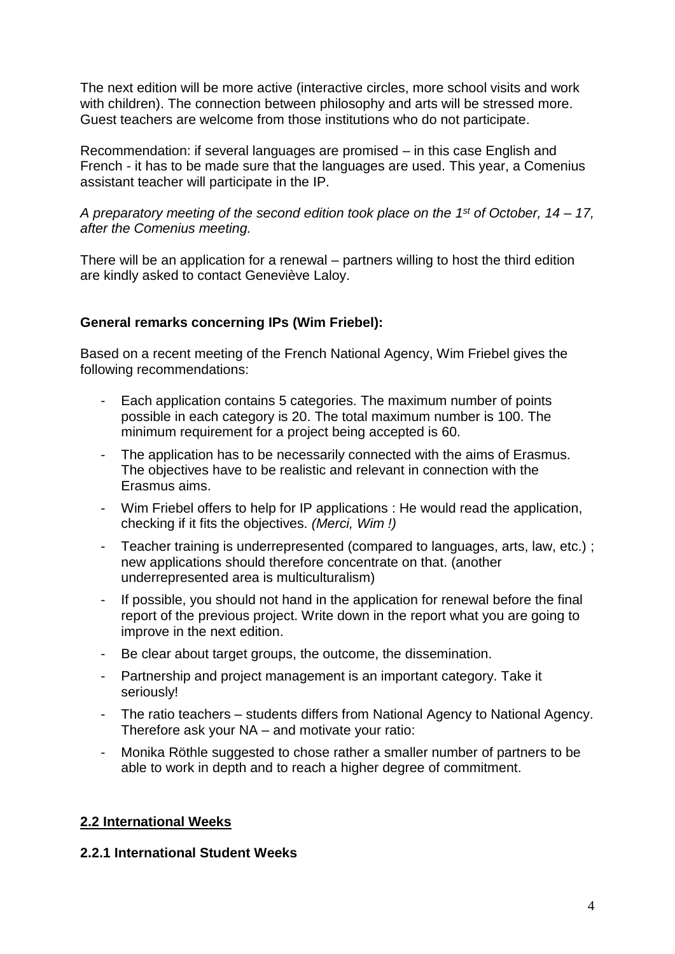The next edition will be more active (interactive circles, more school visits and work with children). The connection between philosophy and arts will be stressed more. Guest teachers are welcome from those institutions who do not participate.

Recommendation: if several languages are promised – in this case English and French - it has to be made sure that the languages are used. This year, a Comenius assistant teacher will participate in the IP.

*A preparatory meeting of the second edition took place on the 1 st of October, 14 – 17, after the Comenius meeting.*

There will be an application for a renewal – partners willing to host the third edition are kindly asked to contact Geneviève Laloy.

### **General remarks concerning IPs (Wim Friebel):**

Based on a recent meeting of the French National Agency, Wim Friebel gives the following recommendations:

- Each application contains 5 categories. The maximum number of points possible in each category is 20. The total maximum number is 100. The minimum requirement for a project being accepted is 60.
- The application has to be necessarily connected with the aims of Erasmus. The objectives have to be realistic and relevant in connection with the Erasmus aims.
- Wim Friebel offers to help for IP applications : He would read the application, checking if it fits the objectives. *(Merci, Wim !)*
- Teacher training is underrepresented (compared to languages, arts, law, etc.); new applications should therefore concentrate on that. (another underrepresented area is multiculturalism)
- If possible, you should not hand in the application for renewal before the final report of the previous project. Write down in the report what you are going to improve in the next edition.
- Be clear about target groups, the outcome, the dissemination.
- Partnership and project management is an important category. Take it seriously!
- The ratio teachers students differs from National Agency to National Agency. Therefore ask your NA – and motivate your ratio:
- Monika Röthle suggested to chose rather a smaller number of partners to be able to work in depth and to reach a higher degree of commitment.

### **2.2 International Weeks**

### **2.2.1 International Student Weeks**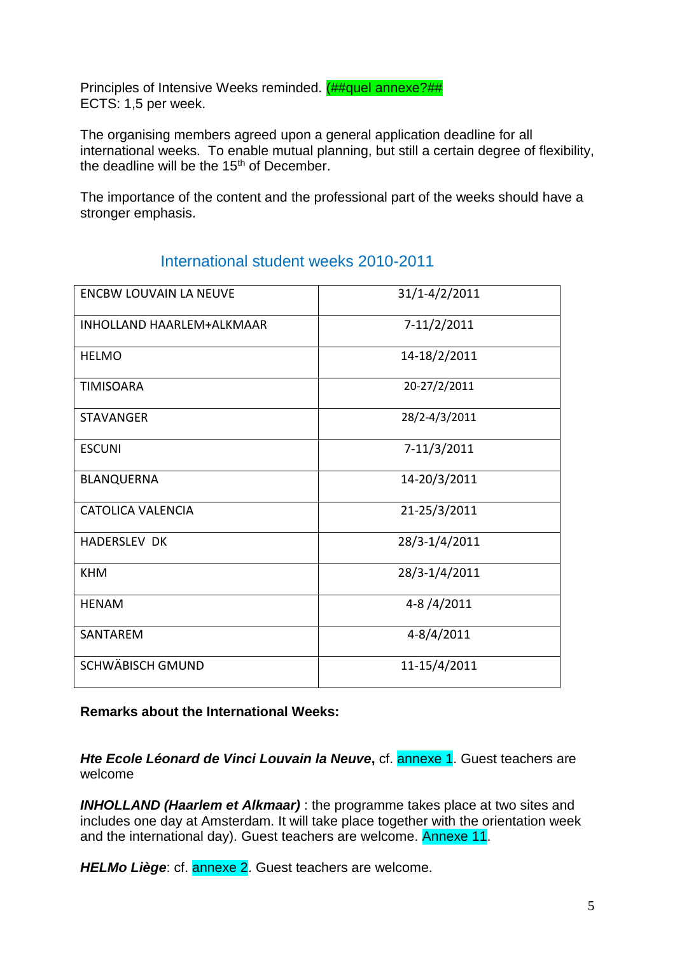Principles of Intensive Weeks reminded. (##quel annexe?## ECTS: 1,5 per week.

The organising members agreed upon a general application deadline for all international weeks. To enable mutual planning, but still a certain degree of flexibility, the deadline will be the 15<sup>th</sup> of December.

The importance of the content and the professional part of the weeks should have a stronger emphasis.

| <b>ENCBW LOUVAIN LA NEUVE</b>    | 31/1-4/2/2011  |
|----------------------------------|----------------|
| <b>INHOLLAND HAARLEM+ALKMAAR</b> | 7-11/2/2011    |
| <b>HELMO</b>                     | 14-18/2/2011   |
| <b>TIMISOARA</b>                 | 20-27/2/2011   |
| <b>STAVANGER</b>                 | 28/2-4/3/2011  |
| <b>ESCUNI</b>                    | 7-11/3/2011    |
| <b>BLANQUERNA</b>                | 14-20/3/2011   |
| <b>CATOLICA VALENCIA</b>         | 21-25/3/2011   |
| <b>HADERSLEV DK</b>              | 28/3-1/4/2011  |
| <b>KHM</b>                       | 28/3-1/4/2011  |
| <b>HENAM</b>                     | 4-8/4/2011     |
| <b>SANTAREM</b>                  | $4 - 8/4/2011$ |
| <b>SCHWÄBISCH GMUND</b>          | 11-15/4/2011   |

# International student weeks 2010-2011

#### **Remarks about the International Weeks:**

*Hte Ecole Léonard de Vinci Louvain la Neuve***,** cf. annexe 1. Guest teachers are welcome

*INHOLLAND (Haarlem et Alkmaar)* : the programme takes place at two sites and includes one day at Amsterdam. It will take place together with the orientation week and the international day). Guest teachers are welcome. Annexe 11.

*HELMo Liège*: cf. annexe 2. Guest teachers are welcome.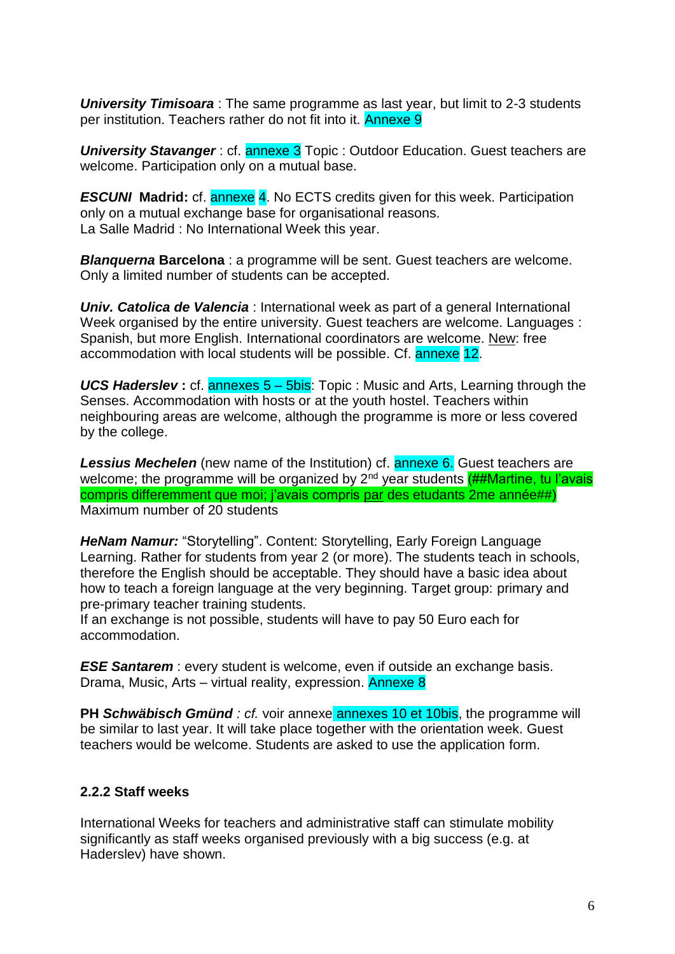*University Timisoara* : The same programme as last year, but limit to 2-3 students per institution. Teachers rather do not fit into it. Annexe 9

*University Stavanger*: cf. **annexe 3** Topic: Outdoor Education. Guest teachers are welcome. Participation only on a mutual base.

**ESCUNI** Madrid: cf. annexe 4. No ECTS credits given for this week. Participation only on a mutual exchange base for organisational reasons. La Salle Madrid : No International Week this year.

*Blanquerna* **Barcelona** : a programme will be sent. Guest teachers are welcome. Only a limited number of students can be accepted.

*Univ. Catolica de Valencia* : International week as part of a general International Week organised by the entire university. Guest teachers are welcome. Languages : Spanish, but more English. International coordinators are welcome. New: free accommodation with local students will be possible. Cf. annexe 12.

*UCS Haderslev*: cf. annexes 5 – 5bis: Topic : Music and Arts, Learning through the Senses. Accommodation with hosts or at the youth hostel. Teachers within neighbouring areas are welcome, although the programme is more or less covered by the college.

**Lessius Mechelen** (new name of the Institution) cf. **annexe 6.** Guest teachers are welcome; the programme will be organized by  $2^{nd}$  year students  $(H#Martine, tu l'avais)$ compris differemment que moi; j'avais compris par des etudants 2me année##) Maximum number of 20 students

*HeNam Namur:* "Storytelling". Content: Storytelling, Early Foreign Language Learning. Rather for students from year 2 (or more). The students teach in schools, therefore the English should be acceptable. They should have a basic idea about how to teach a foreign language at the very beginning. Target group: primary and pre-primary teacher training students.

If an exchange is not possible, students will have to pay 50 Euro each for accommodation.

*ESE Santarem*: every student is welcome, even if outside an exchange basis. Drama, Music, Arts – virtual reality, expression. Annexe 8

**PH Schwäbisch Gmünd** *: cf.* voir annexe **annexes 10 et 10bis**, the programme will be similar to last year. It will take place together with the orientation week. Guest teachers would be welcome. Students are asked to use the application form.

### **2.2.2 Staff weeks**

International Weeks for teachers and administrative staff can stimulate mobility significantly as staff weeks organised previously with a big success (e.g. at Haderslev) have shown.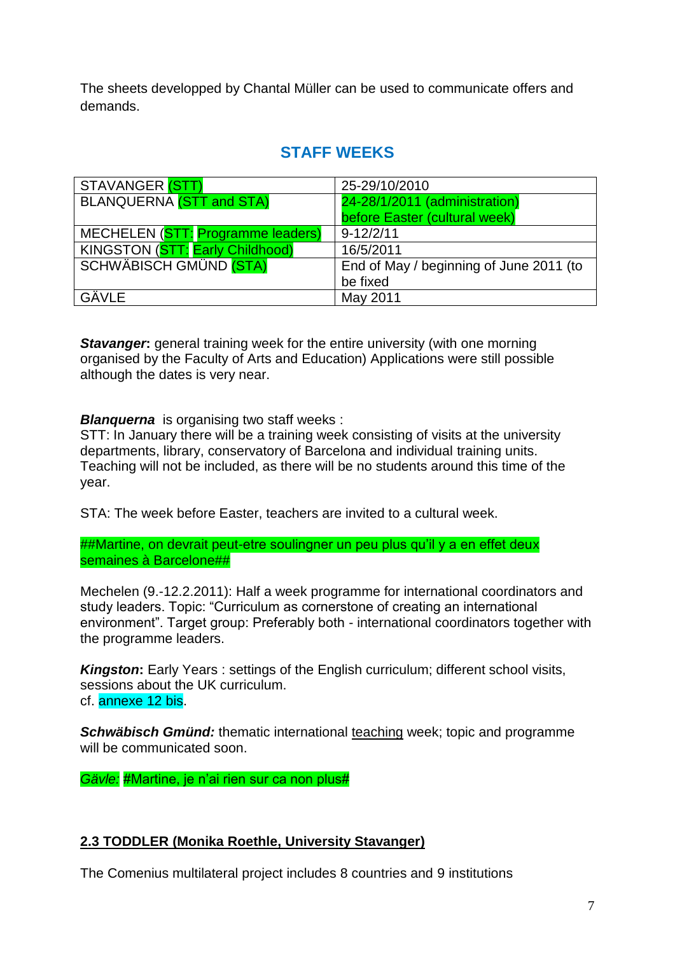The sheets developped by Chantal Müller can be used to communicate offers and demands.

# **STAFF WEEKS**

| STAVANGER (STT)                   | 25-29/10/2010                           |
|-----------------------------------|-----------------------------------------|
| <b>BLANQUERNA (STT and STA)</b>   | 24-28/1/2011 (administration)           |
|                                   | before Easter (cultural week)           |
| MECHELEN (STT: Programme leaders) | $9 - 12/2/11$                           |
| KINGSTON (STT: Early Childhood)   | 16/5/2011                               |
| <b>SCHWÄBISCH GMÜND (STA)</b>     | End of May / beginning of June 2011 (to |
|                                   | be fixed                                |
| GÄVLE                             | May 2011                                |

**Stavanger:** general training week for the entire university (with one morning organised by the Faculty of Arts and Education) Applications were still possible although the dates is very near.

**Blanquerna** is organising two staff weeks :

STT: In January there will be a training week consisting of visits at the university departments, library, conservatory of Barcelona and individual training units. Teaching will not be included, as there will be no students around this time of the year.

STA: The week before Easter, teachers are invited to a cultural week.

##Martine, on devrait peut-etre soulingner un peu plus qu'il y a en effet deux semaines à Barcelone##

Mechelen (9.-12.2.2011): Half a week programme for international coordinators and study leaders. Topic: "Curriculum as cornerstone of creating an international environment". Target group: Preferably both - international coordinators together with the programme leaders.

*Kingston***:** Early Years: settings of the English curriculum; different school visits, sessions about the UK curriculum. cf. annexe 12 bis.

*Schwäbisch Gmünd:* thematic international teaching week; topic and programme will be communicated soon.

*Gävle:* #Martine, je n'ai rien sur ca non plus#

### **2.3 TODDLER (Monika Roethle, University Stavanger)**

The Comenius multilateral project includes 8 countries and 9 institutions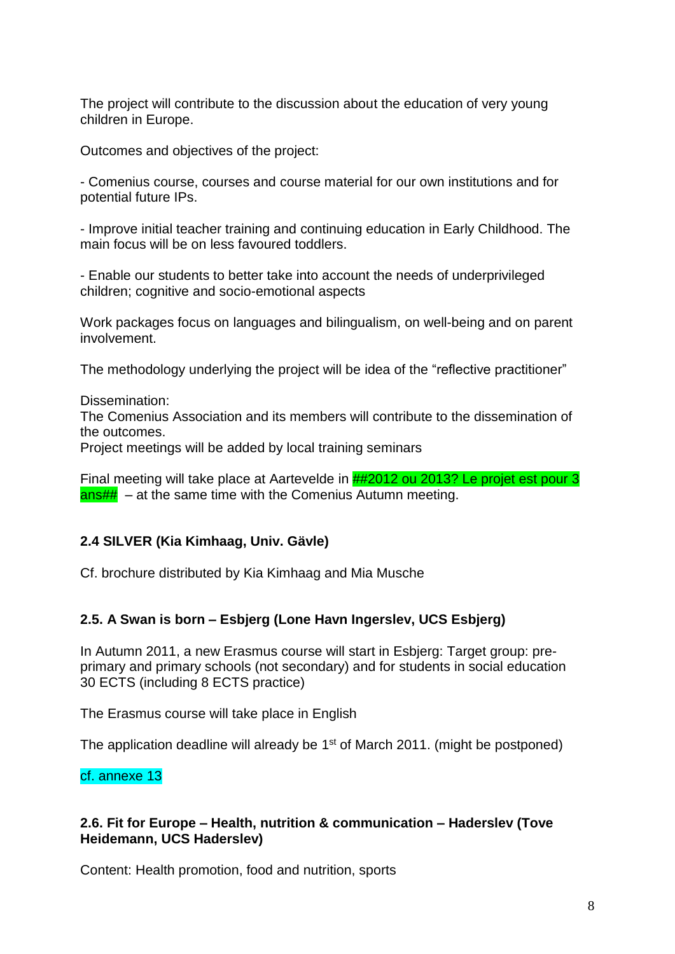The project will contribute to the discussion about the education of very young children in Europe.

Outcomes and objectives of the project:

- Comenius course, courses and course material for our own institutions and for potential future IPs.

- Improve initial teacher training and continuing education in Early Childhood. The main focus will be on less favoured toddlers.

- Enable our students to better take into account the needs of underprivileged children; cognitive and socio-emotional aspects

Work packages focus on languages and bilingualism, on well-being and on parent involvement.

The methodology underlying the project will be idea of the "reflective practitioner"

Dissemination:

The Comenius Association and its members will contribute to the dissemination of the outcomes.

Project meetings will be added by local training seminars

Final meeting will take place at Aartevelde in ##2012 ou 2013? Le projet est pour 3  $ans\#H - at$  the same time with the Comenius Autumn meeting.

#### **2.4 SILVER (Kia Kimhaag, Univ. Gävle)**

Cf. brochure distributed by Kia Kimhaag and Mia Musche

### **2.5. A Swan is born – Esbjerg (Lone Havn Ingerslev, UCS Esbjerg)**

In Autumn 2011, a new Erasmus course will start in Esbjerg: Target group: preprimary and primary schools (not secondary) and for students in social education 30 ECTS (including 8 ECTS practice)

The Erasmus course will take place in English

The application deadline will already be 1<sup>st</sup> of March 2011. (might be postponed)

#### cf. annexe 13

#### **2.6. Fit for Europe – Health, nutrition & communication – Haderslev (Tove Heidemann, UCS Haderslev)**

Content: Health promotion, food and nutrition, sports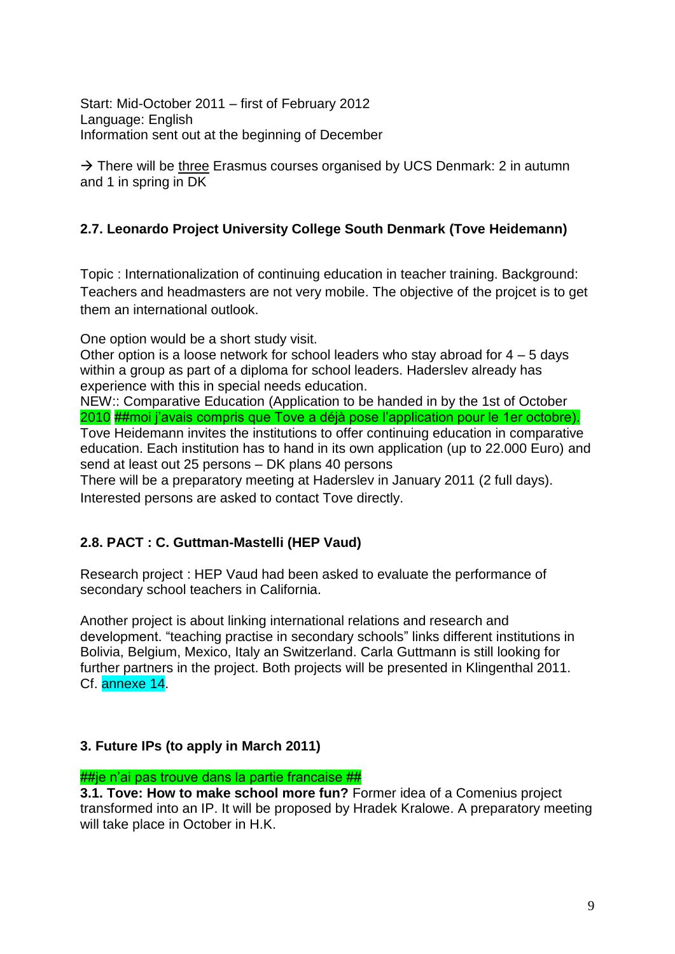Start: Mid-October 2011 – first of February 2012 Language: English Information sent out at the beginning of December

 $\rightarrow$  There will be three Erasmus courses organised by UCS Denmark: 2 in autumn and 1 in spring in DK

### **2.7. Leonardo Project University College South Denmark (Tove Heidemann)**

Topic : Internationalization of continuing education in teacher training. Background: Teachers and headmasters are not very mobile. The objective of the projcet is to get them an international outlook.

One option would be a short study visit.

Other option is a loose network for school leaders who stay abroad for 4 – 5 days within a group as part of a diploma for school leaders. Haderslev already has experience with this in special needs education.

NEW:: Comparative Education (Application to be handed in by the 1st of October 2010 ##moi j'avais compris que Tove a déjà pose l'application pour le 1er octobre). Tove Heidemann invites the institutions to offer continuing education in comparative education. Each institution has to hand in its own application (up to 22.000 Euro) and send at least out 25 persons – DK plans 40 persons

There will be a preparatory meeting at Haderslev in January 2011 (2 full days). Interested persons are asked to contact Tove directly.

### **2.8. PACT : C. Guttman-Mastelli (HEP Vaud)**

Research project : HEP Vaud had been asked to evaluate the performance of secondary school teachers in California.

Another project is about linking international relations and research and development. "teaching practise in secondary schools" links different institutions in Bolivia, Belgium, Mexico, Italy an Switzerland. Carla Guttmann is still looking for further partners in the project. Both projects will be presented in Klingenthal 2011. Cf. annexe 14.

### **3. Future IPs (to apply in March 2011)**

#### ##ie n'ai pas trouve dans la partie francaise ##

**3.1. Tove: How to make school more fun?** Former idea of a Comenius project transformed into an IP. It will be proposed by Hradek Kralowe. A preparatory meeting will take place in October in H.K.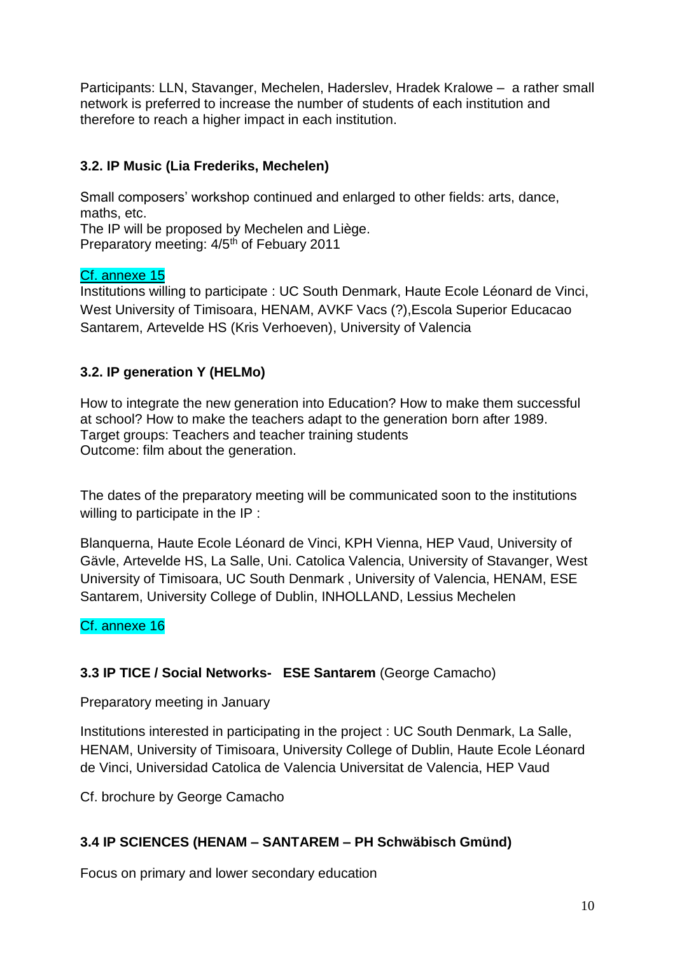Participants: LLN, Stavanger, Mechelen, Haderslev, Hradek Kralowe – a rather small network is preferred to increase the number of students of each institution and therefore to reach a higher impact in each institution.

# **3.2. IP Music (Lia Frederiks, Mechelen)**

Small composers' workshop continued and enlarged to other fields: arts, dance, maths, etc. The IP will be proposed by Mechelen and Liège.

Preparatory meeting: 4/5<sup>th</sup> of Febuary 2011

### Cf. annexe 15

Institutions willing to participate : UC South Denmark, Haute Ecole Léonard de Vinci, West University of Timisoara, HENAM, AVKF Vacs (?),Escola Superior Educacao Santarem, Artevelde HS (Kris Verhoeven), University of Valencia

### **3.2. IP generation Y (HELMo)**

How to integrate the new generation into Education? How to make them successful at school? How to make the teachers adapt to the generation born after 1989. Target groups: Teachers and teacher training students Outcome: film about the generation.

The dates of the preparatory meeting will be communicated soon to the institutions willing to participate in the IP :

Blanquerna, Haute Ecole Léonard de Vinci, KPH Vienna, HEP Vaud, University of Gävle, Artevelde HS, La Salle, Uni. Catolica Valencia, University of Stavanger, West University of Timisoara, UC South Denmark , University of Valencia, HENAM, ESE Santarem, University College of Dublin, INHOLLAND, Lessius Mechelen

### Cf. annexe 16

### **3.3 IP TICE / Social Networks- ESE Santarem** (George Camacho)

Preparatory meeting in January

Institutions interested in participating in the project : UC South Denmark, La Salle, HENAM, University of Timisoara, University College of Dublin, Haute Ecole Léonard de Vinci, Universidad Catolica de Valencia Universitat de Valencia, HEP Vaud

Cf. brochure by George Camacho

### **3.4 IP SCIENCES (HENAM – SANTAREM – PH Schwäbisch Gmünd)**

Focus on primary and lower secondary education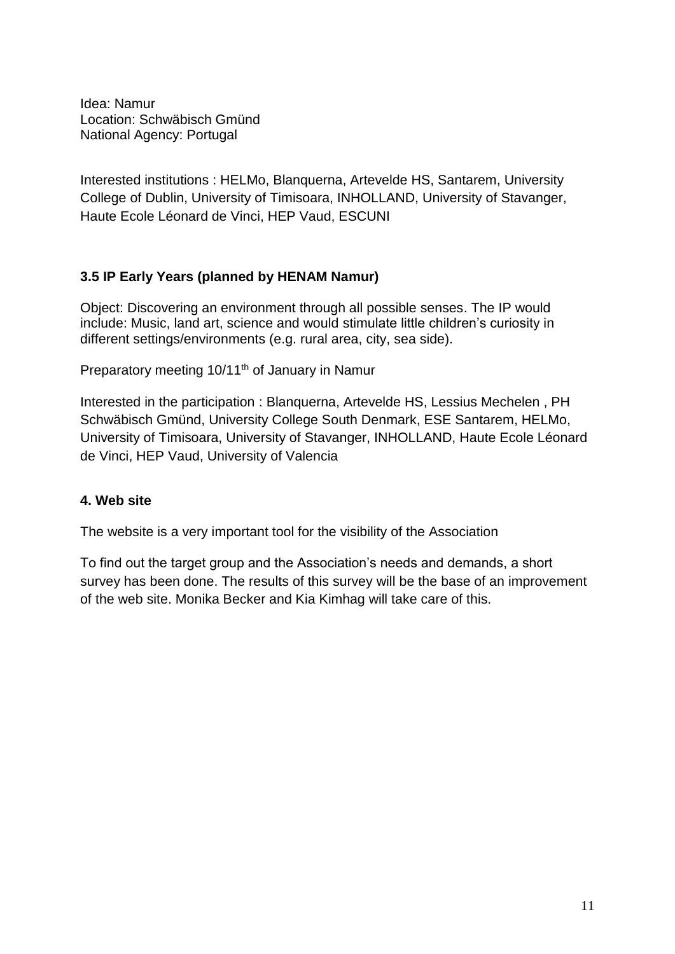Idea: Namur Location: Schwäbisch Gmünd National Agency: Portugal

Interested institutions : HELMo, Blanquerna, Artevelde HS, Santarem, University College of Dublin, University of Timisoara, INHOLLAND, University of Stavanger, Haute Ecole Léonard de Vinci, HEP Vaud, ESCUNI

### **3.5 IP Early Years (planned by HENAM Namur)**

Object: Discovering an environment through all possible senses. The IP would include: Music, land art, science and would stimulate little children's curiosity in different settings/environments (e.g. rural area, city, sea side).

Preparatory meeting 10/11<sup>th</sup> of January in Namur

Interested in the participation : Blanquerna, Artevelde HS, Lessius Mechelen , PH Schwäbisch Gmünd, University College South Denmark, ESE Santarem, HELMo, University of Timisoara, University of Stavanger, INHOLLAND, Haute Ecole Léonard de Vinci, HEP Vaud, University of Valencia

### **4. Web site**

The website is a very important tool for the visibility of the Association

To find out the target group and the Association's needs and demands, a short survey has been done. The results of this survey will be the base of an improvement of the web site. Monika Becker and Kia Kimhag will take care of this.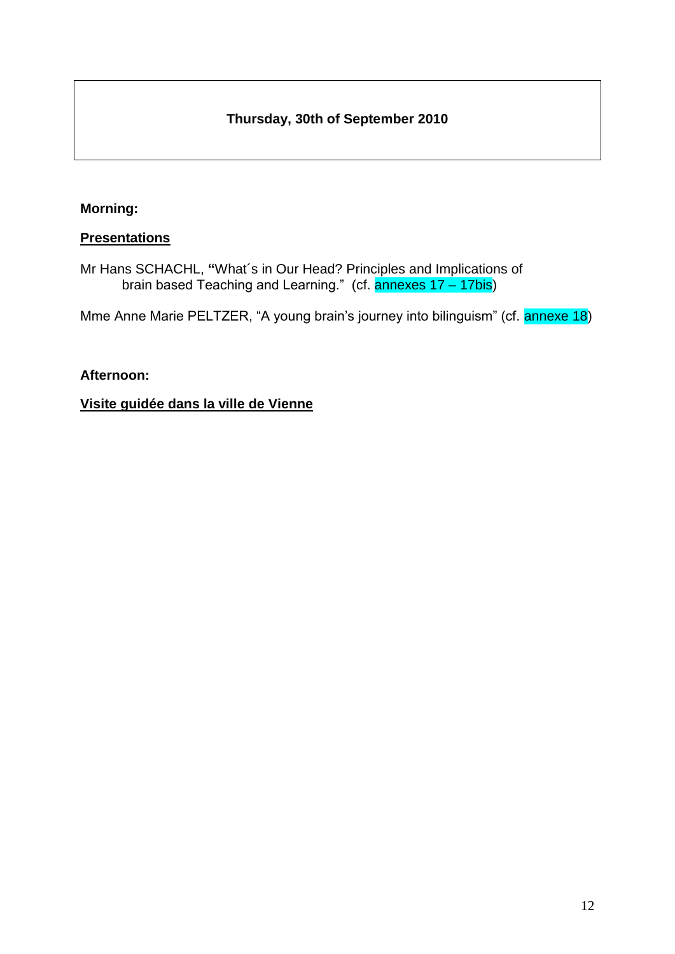# **Thursday, 30th of September 2010**

### **Morning:**

#### **Presentations**

Mr Hans SCHACHL, **"**What´s in Our Head? Principles and Implications of brain based Teaching and Learning." (cf. annexes 17 – 17bis)

Mme Anne Marie PELTZER, "A young brain's journey into bilinguism" (cf. annexe 18)

#### **Afternoon:**

### **Visite guidée dans la ville de Vienne**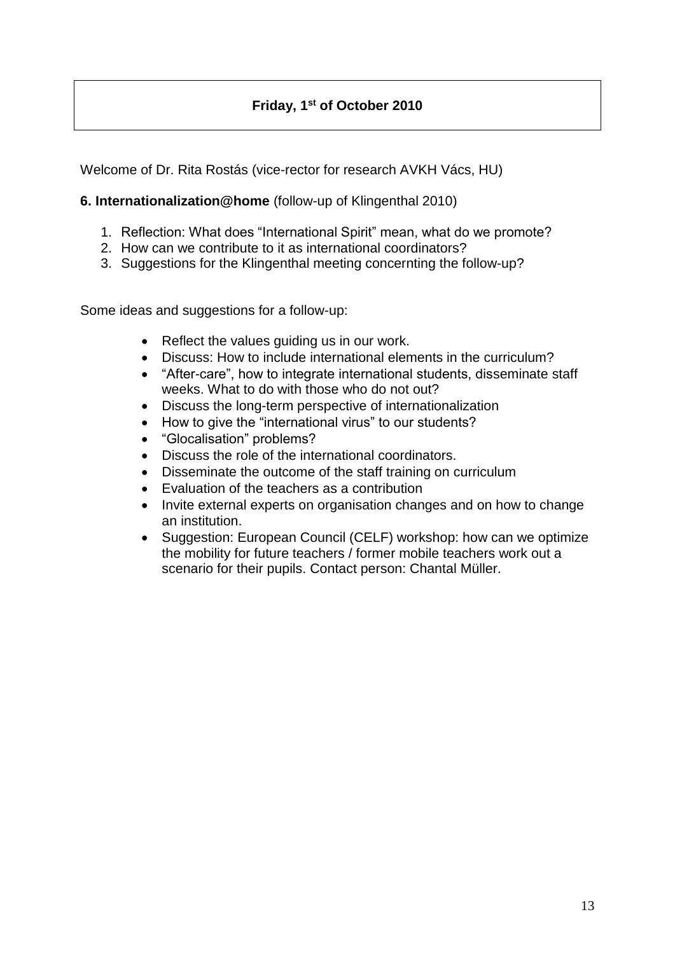# **Friday, 1 st of October 2010**

Welcome of Dr. Rita Rostás (vice-rector for research AVKH Vács, HU)

### **6. Internationalization@home** (follow-up of Klingenthal 2010)

- 1. Reflection: What does "International Spirit" mean, what do we promote?
- 2. How can we contribute to it as international coordinators?
- 3. Suggestions for the Klingenthal meeting concernting the follow-up?

Some ideas and suggestions for a follow-up:

- Reflect the values quiding us in our work.
- Discuss: How to include international elements in the curriculum?
- "After-care", how to integrate international students, disseminate staff weeks. What to do with those who do not out?
- Discuss the long-term perspective of internationalization
- How to give the "international virus" to our students?
- "Glocalisation" problems?
- Discuss the role of the international coordinators.
- Disseminate the outcome of the staff training on curriculum
- Evaluation of the teachers as a contribution
- Invite external experts on organisation changes and on how to change an institution.
- Suggestion: European Council (CELF) workshop: how can we optimize the mobility for future teachers / former mobile teachers work out a scenario for their pupils. Contact person: Chantal Müller.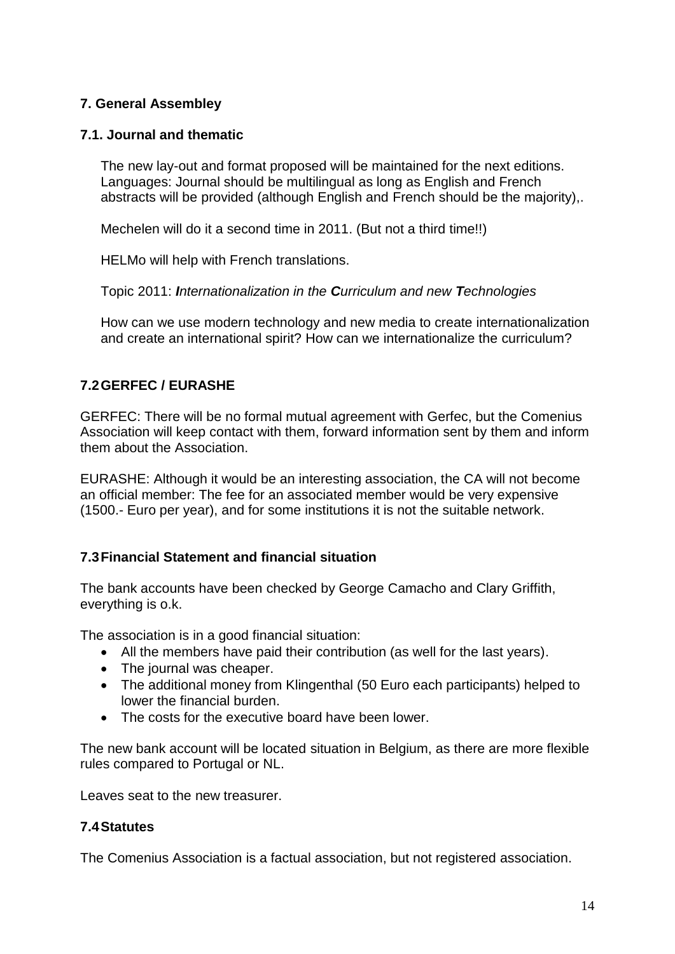### **7. General Assembley**

#### **7.1. Journal and thematic**

The new lay-out and format proposed will be maintained for the next editions. Languages: Journal should be multilingual as long as English and French abstracts will be provided (although English and French should be the majority),.

Mechelen will do it a second time in 2011. (But not a third time!!)

HELMo will help with French translations.

Topic 2011: *Internationalization in the Curriculum and new Technologies*

How can we use modern technology and new media to create internationalization and create an international spirit? How can we internationalize the curriculum?

### **7.2GERFEC / EURASHE**

GERFEC: There will be no formal mutual agreement with Gerfec, but the Comenius Association will keep contact with them, forward information sent by them and inform them about the Association.

EURASHE: Although it would be an interesting association, the CA will not become an official member: The fee for an associated member would be very expensive (1500.- Euro per year), and for some institutions it is not the suitable network.

#### **7.3Financial Statement and financial situation**

The bank accounts have been checked by George Camacho and Clary Griffith, everything is o.k.

The association is in a good financial situation:

- All the members have paid their contribution (as well for the last years).
- The journal was cheaper.
- The additional money from Klingenthal (50 Euro each participants) helped to lower the financial burden.
- The costs for the executive board have been lower.

The new bank account will be located situation in Belgium, as there are more flexible rules compared to Portugal or NL.

Leaves seat to the new treasurer.

#### **7.4Statutes**

The Comenius Association is a factual association, but not registered association.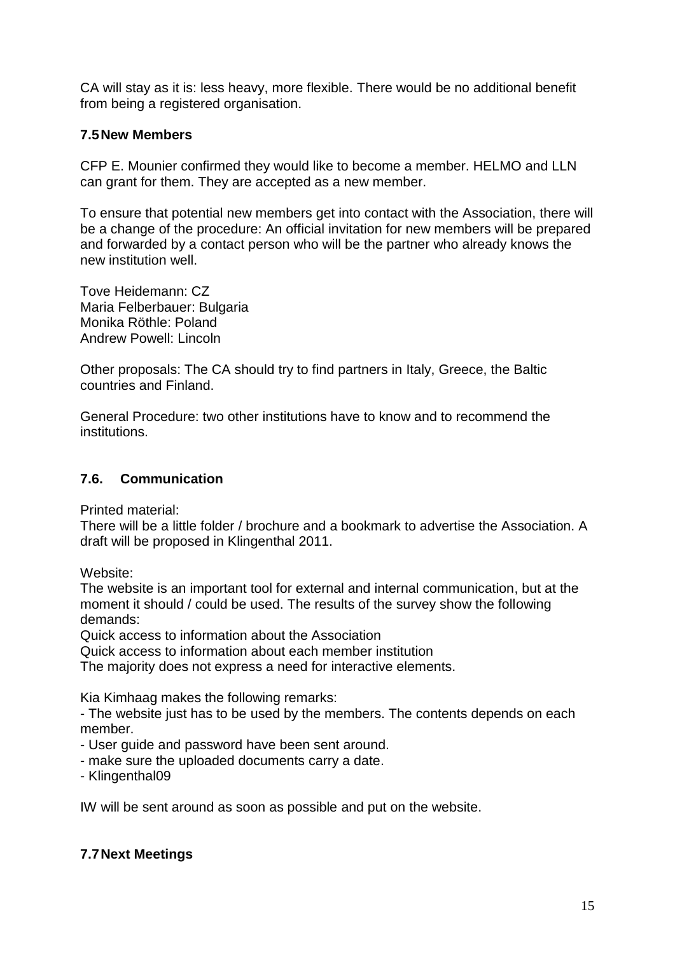CA will stay as it is: less heavy, more flexible. There would be no additional benefit from being a registered organisation.

#### **7.5New Members**

CFP E. Mounier confirmed they would like to become a member. HELMO and LLN can grant for them. They are accepted as a new member.

To ensure that potential new members get into contact with the Association, there will be a change of the procedure: An official invitation for new members will be prepared and forwarded by a contact person who will be the partner who already knows the new institution well.

Tove Heidemann: CZ Maria Felberbauer: Bulgaria Monika Röthle: Poland Andrew Powell: Lincoln

Other proposals: The CA should try to find partners in Italy, Greece, the Baltic countries and Finland.

General Procedure: two other institutions have to know and to recommend the institutions.

#### **7.6. Communication**

Printed material:

There will be a little folder / brochure and a bookmark to advertise the Association. A draft will be proposed in Klingenthal 2011.

Website:

The website is an important tool for external and internal communication, but at the moment it should / could be used. The results of the survey show the following demands:

Quick access to information about the Association

Quick access to information about each member institution

The majority does not express a need for interactive elements.

Kia Kimhaag makes the following remarks:

- The website just has to be used by the members. The contents depends on each member.

- User guide and password have been sent around.
- make sure the uploaded documents carry a date.
- Klingenthal09

IW will be sent around as soon as possible and put on the website.

#### **7.7Next Meetings**